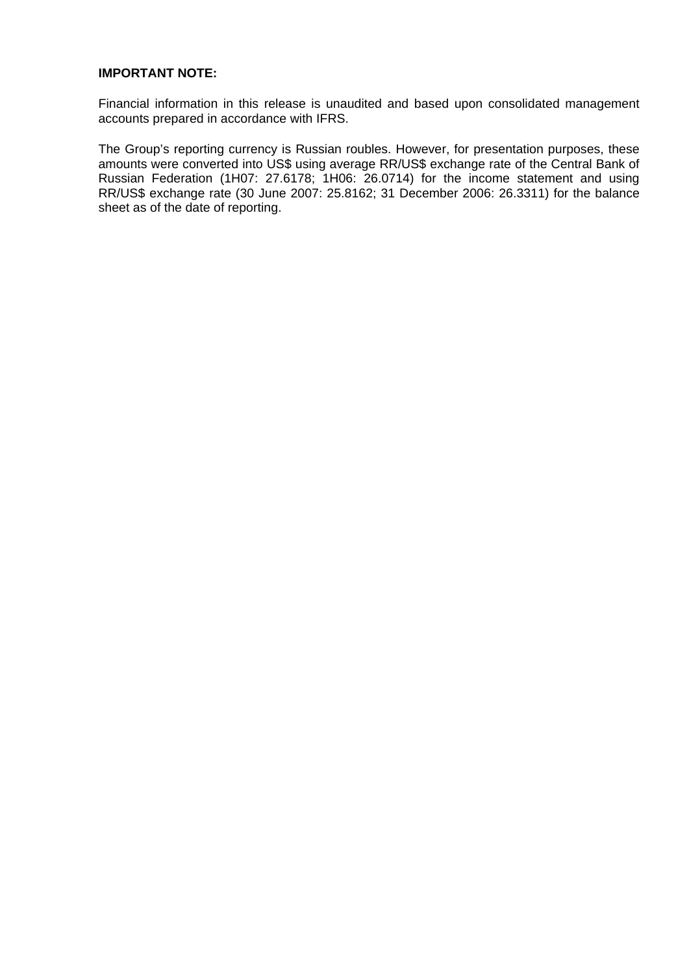## **IMPORTANT NOTE:**

Financial information in this release is unaudited and based upon consolidated management accounts prepared in accordance with IFRS.

The Group's reporting currency is Russian roubles. However, for presentation purposes, these amounts were converted into US\$ using average RR/US\$ exchange rate of the Central Bank of Russian Federation (1H07: 27.6178; 1H06: 26.0714) for the income statement and using RR/US\$ exchange rate (30 June 2007: 25.8162; 31 December 2006: 26.3311) for the balance sheet as of the date of reporting.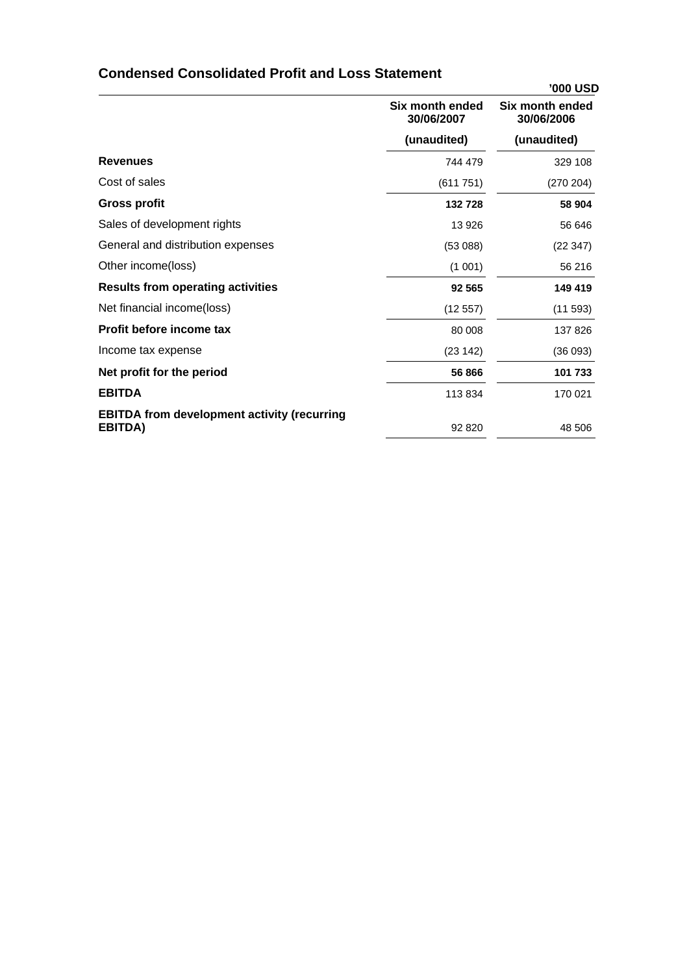## **Condensed Consolidated Profit and Loss Statement**

|                                                               |                               | '000 USD                      |
|---------------------------------------------------------------|-------------------------------|-------------------------------|
|                                                               | Six month ended<br>30/06/2007 | Six month ended<br>30/06/2006 |
|                                                               | (unaudited)                   | (unaudited)                   |
| <b>Revenues</b>                                               | 744 479                       | 329 108                       |
| Cost of sales                                                 | (611751)                      | (270 204)                     |
| <b>Gross profit</b>                                           | 132728                        | 58 904                        |
| Sales of development rights                                   | 13 9 26                       | 56 646                        |
| General and distribution expenses                             | (53088)                       | (22347)                       |
| Other income(loss)                                            | (1 001)                       | 56 216                        |
| <b>Results from operating activities</b>                      | 92 565                        | 149 419                       |
| Net financial income(loss)                                    | (12557)                       | (11 593)                      |
| Profit before income tax                                      | 80 008                        | 137826                        |
| Income tax expense                                            | (23142)                       | (36093)                       |
| Net profit for the period                                     | 56 866                        | 101 733                       |
| <b>EBITDA</b>                                                 | 113834                        | 170 021                       |
| <b>EBITDA from development activity (recurring</b><br>EBITDA) | 92 820                        | 48 506                        |